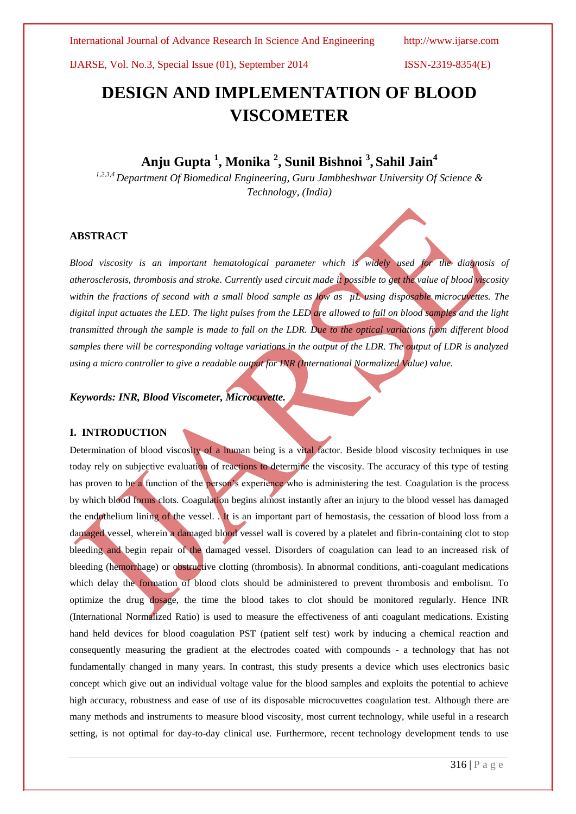International Journal of Advance Research In Science And Engineering http://www.ijarse.com

IJARSE, Vol. No.3, Special Issue (01), September 2014 ISSN-2319-8354(E)

# **DESIGN AND IMPLEMENTATION OF BLOOD VISCOMETER**

## **Anju Gupta 1 , Monika <sup>2</sup> , Sunil Bishnoi <sup>3</sup> , Sahil Jain<sup>4</sup>**

*1,2,3,4 Department Of Biomedical Engineering, Guru Jambheshwar University Of Science & Technology, (India)*

### **ABSTRACT**

*Blood viscosity is an important hematological parameter which is widely used for the diagnosis of atherosclerosis, thrombosis and stroke. Currently used circuit made it possible to get the value of blood viscosity*  within the fractions of second with a small blood sample as low as uL using disposable microcuvettes. The *digital input actuates the LED. The light pulses from the LED are allowed to fall on blood samples and the light transmitted through the sample is made to fall on the LDR. Due to the optical variations from different blood samples there will be corresponding voltage variations in the output of the LDR. The output of LDR is analyzed using a micro controller to give a readable output for INR (International Normalized Value) value.*

### *Keywords: INR, Blood Viscometer, Microcuvette.*

### **I. INTRODUCTION**

Determination of blood viscosity of a human being is a vital factor. Beside blood viscosity techniques in use today rely on subjective evaluation of reactions to determine the viscosity. The accuracy of this type of testing has proven to be a function of the person's experience who is administering the test. Coagulation is the process by which blood forms clots. Coagulation begins almost instantly after an injury to the blood vessel has damaged the endothelium lining of the vessel. . It is an important part of hemostasis, the cessation of blood loss from a damaged vessel, wherein a damaged blood vessel wall is covered by a platelet and fibrin-containing clot to stop bleeding and begin repair of the damaged vessel. Disorders of coagulation can lead to an increased risk of bleeding (hemorrhage) or obstructive clotting (thrombosis). In abnormal conditions, anti-coagulant medications which delay the formation of blood clots should be administered to prevent thrombosis and embolism. To optimize the drug dosage, the time the blood takes to clot should be monitored regularly. Hence INR (International Normalized Ratio) is used to measure the effectiveness of anti coagulant medications. Existing hand held devices for blood coagulation PST (patient self test) work by inducing a chemical reaction and consequently measuring the gradient at the electrodes coated with compounds - a technology that has not fundamentally changed in many years. In contrast, this study presents a device which uses electronics basic concept which give out an individual voltage value for the blood samples and exploits the potential to achieve high accuracy, robustness and ease of use of its disposable microcuvettes coagulation test. Although there are many methods and instruments to measure blood viscosity, most current technology, while useful in a research setting, is not optimal for day-to-day clinical use. Furthermore, recent technology development tends to use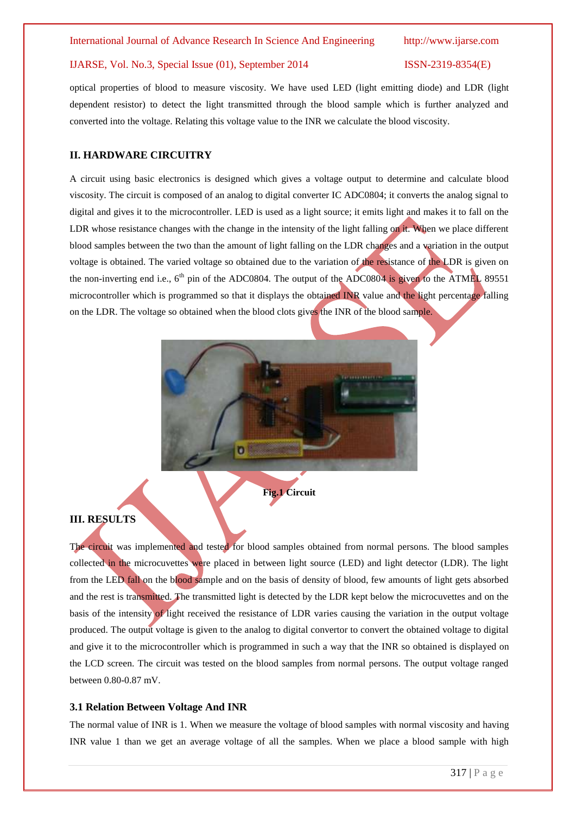### IJARSE, Vol. No.3, Special Issue (01), September 2014 ISSN-2319-8354(E)

optical properties of blood to measure viscosity. We have used LED (light emitting diode) and LDR (light dependent resistor) to detect the light transmitted through the blood sample which is further analyzed and converted into the voltage. Relating this voltage value to the INR we calculate the blood viscosity.

### **II. HARDWARE CIRCUITRY**

A circuit using basic electronics is designed which gives a voltage output to determine and calculate blood viscosity. The circuit is composed of an analog to digital converter IC ADC0804; it converts the analog signal to digital and gives it to the microcontroller. LED is used as a light source; it emits light and makes it to fall on the LDR whose resistance changes with the change in the intensity of the light falling on it. When we place different blood samples between the two than the amount of light falling on the LDR changes and a variation in the output voltage is obtained. The varied voltage so obtained due to the variation of the resistance of the LDR is given on the non-inverting end i.e.,  $6<sup>th</sup>$  pin of the ADC0804. The output of the ADC0804 is given to the ATMEL 89551 microcontroller which is programmed so that it displays the obtained INR value and the light percentage falling on the LDR. The voltage so obtained when the blood clots gives the INR of the blood sample.



### **III. RESULTS**

The circuit was implemented and tested for blood samples obtained from normal persons. The blood samples collected in the microcuvettes were placed in between light source (LED) and light detector (LDR). The light from the LED fall on the blood sample and on the basis of density of blood, few amounts of light gets absorbed and the rest is transmitted. The transmitted light is detected by the LDR kept below the microcuvettes and on the basis of the intensity of light received the resistance of LDR varies causing the variation in the output voltage produced. The output voltage is given to the analog to digital convertor to convert the obtained voltage to digital and give it to the microcontroller which is programmed in such a way that the INR so obtained is displayed on the LCD screen. The circuit was tested on the blood samples from normal persons. The output voltage ranged between 0.80-0.87 mV.

### **3.1 Relation Between Voltage And INR**

The normal value of INR is 1. When we measure the voltage of blood samples with normal viscosity and having INR value 1 than we get an average voltage of all the samples. When we place a blood sample with high